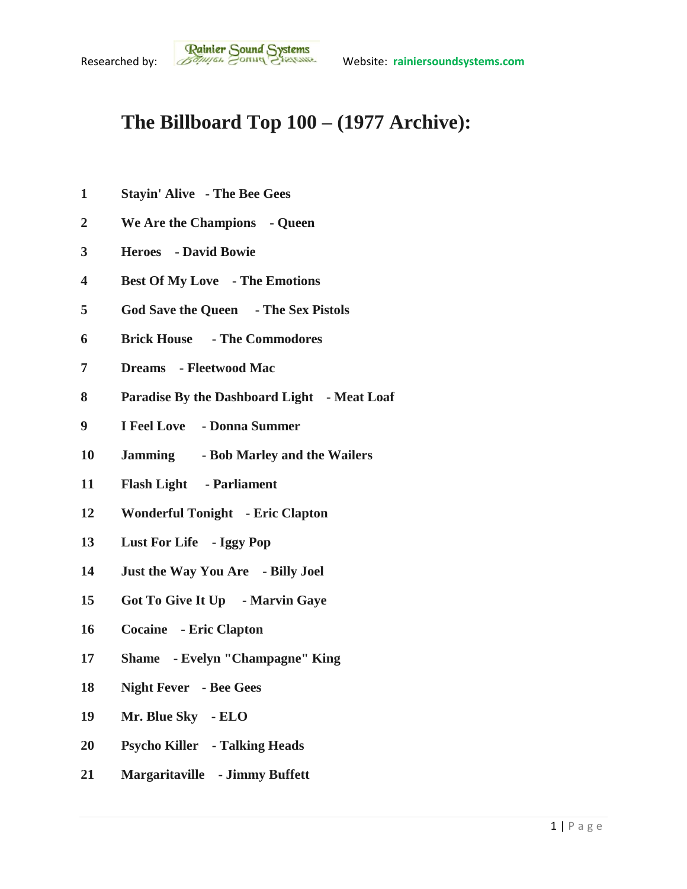## **The Billboard Top 100 – (1977 Archive):**

- **Stayin' Alive - The Bee Gees**
- **We Are the Champions - Queen**
- **Heroes - David Bowie**
- **Best Of My Love - The Emotions**
- **God Save the Queen - The Sex Pistols**
- **Brick House - The Commodores**
- **Dreams - Fleetwood Mac**
- **Paradise By the Dashboard Light - Meat Loaf**
- **I Feel Love - Donna Summer**
- **Jamming - Bob Marley and the Wailers**
- **Flash Light - Parliament**
- **Wonderful Tonight - Eric Clapton**
- **Lust For Life - Iggy Pop**
- **Just the Way You Are - Billy Joel**
- **Got To Give It Up - Marvin Gaye**
- **Cocaine - Eric Clapton**
- **Shame - Evelyn "Champagne" King**
- **Night Fever - Bee Gees**
- **Mr. Blue Sky - ELO**
- **Psycho Killer - Talking Heads**
- **Margaritaville - Jimmy Buffett**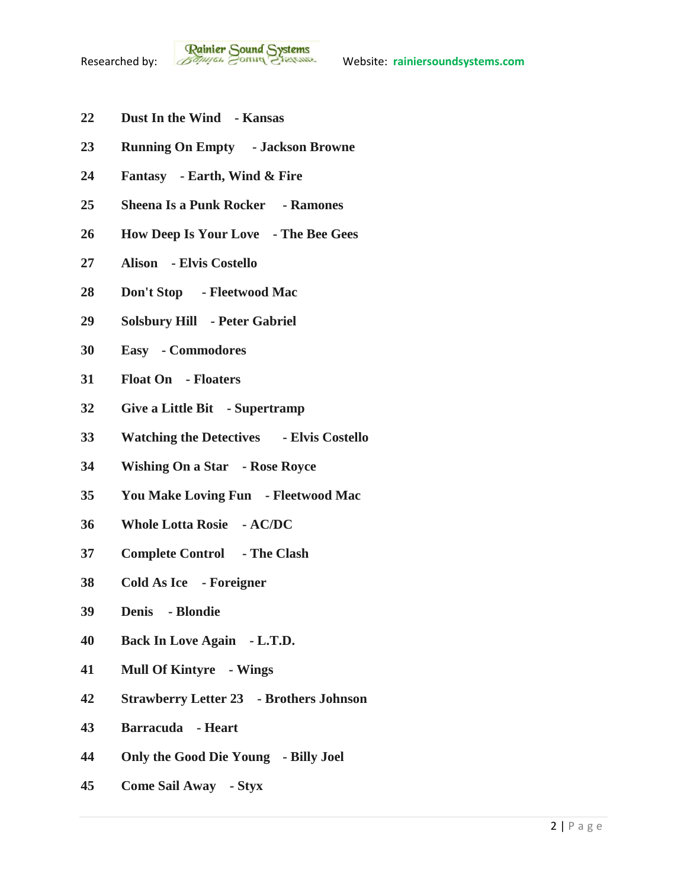- **Dust In the Wind - Kansas**
- **Running On Empty - Jackson Browne**
- **Fantasy - Earth, Wind & Fire**
- **Sheena Is a Punk Rocker - Ramones**
- **How Deep Is Your Love - The Bee Gees**
- **Alison - Elvis Costello**
- **Don't Stop - Fleetwood Mac**
- **Solsbury Hill - Peter Gabriel**
- **Easy - Commodores**
- **Float On - Floaters**
- **Give a Little Bit - Supertramp**
- **Watching the Detectives - Elvis Costello**
- **Wishing On a Star - Rose Royce**
- **You Make Loving Fun - Fleetwood Mac**
- **Whole Lotta Rosie - AC/DC**
- **Complete Control - The Clash**
- **Cold As Ice - Foreigner**
- **Denis - Blondie**
- **Back In Love Again - L.T.D.**
- **Mull Of Kintyre - Wings**
- **Strawberry Letter 23 - Brothers Johnson**
- **Barracuda - Heart**
- **Only the Good Die Young - Billy Joel**
- **Come Sail Away - Styx**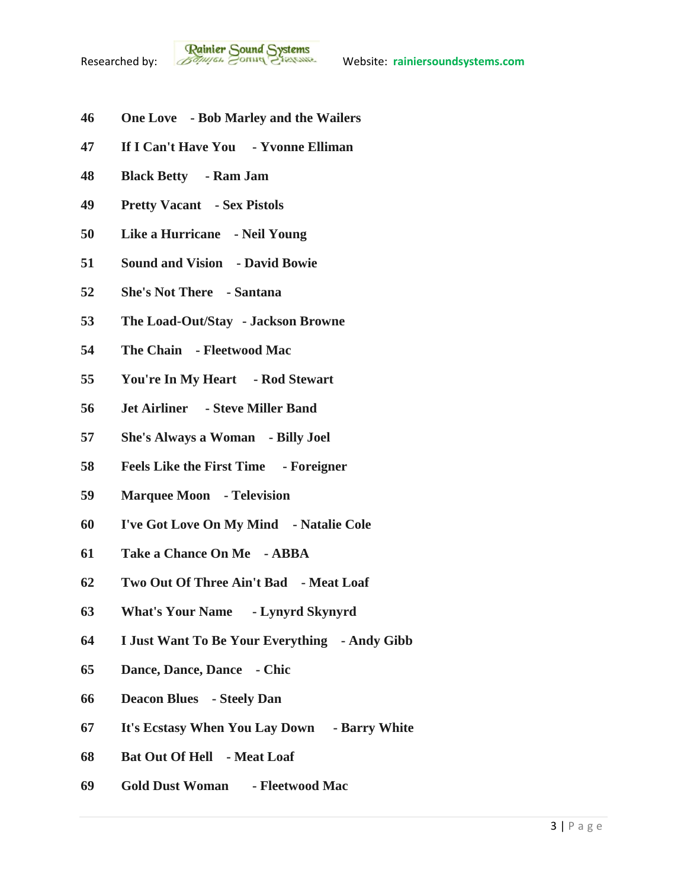- **One Love - Bob Marley and the Wailers**
- **If I Can't Have You - Yvonne Elliman**
- **Black Betty - Ram Jam**
- **Pretty Vacant - Sex Pistols**
- **Like a Hurricane - Neil Young**
- **Sound and Vision - David Bowie**
- **She's Not There - Santana**
- **The Load-Out/Stay - Jackson Browne**
- **The Chain - Fleetwood Mac**
- **You're In My Heart - Rod Stewart**
- **Jet Airliner - Steve Miller Band**
- **She's Always a Woman - Billy Joel**
- **Feels Like the First Time - Foreigner**
- **Marquee Moon - Television**
- **I've Got Love On My Mind - Natalie Cole**
- **Take a Chance On Me - ABBA**
- **Two Out Of Three Ain't Bad - Meat Loaf**
- **What's Your Name - Lynyrd Skynyrd**
- **I Just Want To Be Your Everything - Andy Gibb**
- **Dance, Dance, Dance - Chic**
- **Deacon Blues - Steely Dan**
- **It's Ecstasy When You Lay Down - Barry White**
- **Bat Out Of Hell - Meat Loaf**
- **Gold Dust Woman - Fleetwood Mac**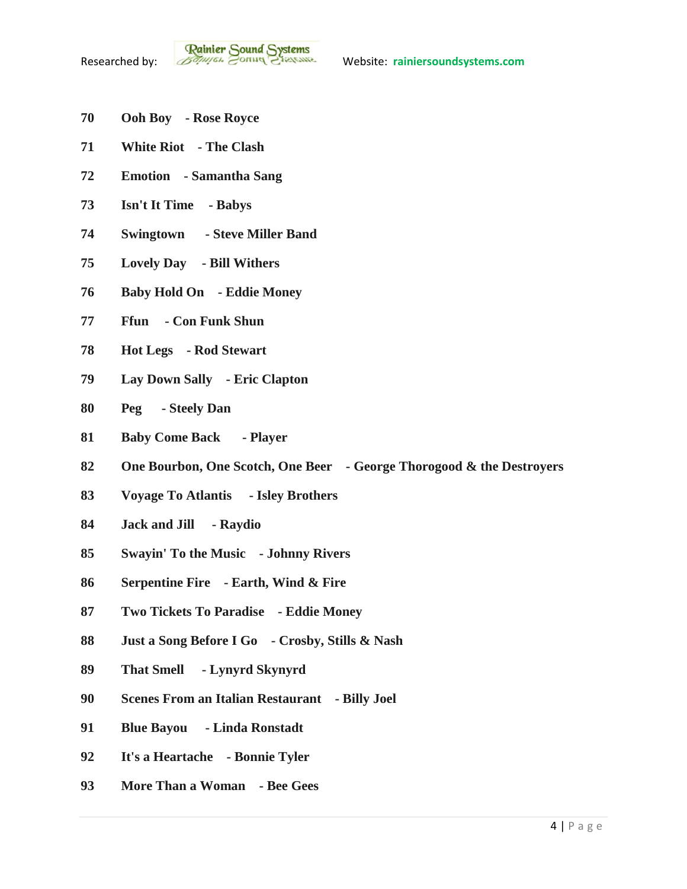- **Ooh Boy - Rose Royce**
- **White Riot - The Clash**
- **Emotion - Samantha Sang**
- **Isn't It Time - Babys**
- **Swingtown - Steve Miller Band**
- **Lovely Day - Bill Withers**
- **Baby Hold On - Eddie Money**
- **Ffun - Con Funk Shun**
- **Hot Legs - Rod Stewart**
- **Lay Down Sally - Eric Clapton**
- **Peg - Steely Dan**
- **Baby Come Back - Player**
- **One Bourbon, One Scotch, One Beer - George Thorogood & the Destroyers**
- **Voyage To Atlantis - Isley Brothers**
- **Jack and Jill - Raydio**
- **Swayin' To the Music - Johnny Rivers**
- **Serpentine Fire - Earth, Wind & Fire**
- **Two Tickets To Paradise - Eddie Money**
- **Just a Song Before I Go - Crosby, Stills & Nash**
- **That Smell - Lynyrd Skynyrd**
- **Scenes From an Italian Restaurant - Billy Joel**
- **Blue Bayou - Linda Ronstadt**
- **It's a Heartache - Bonnie Tyler**
- **More Than a Woman - Bee Gees**